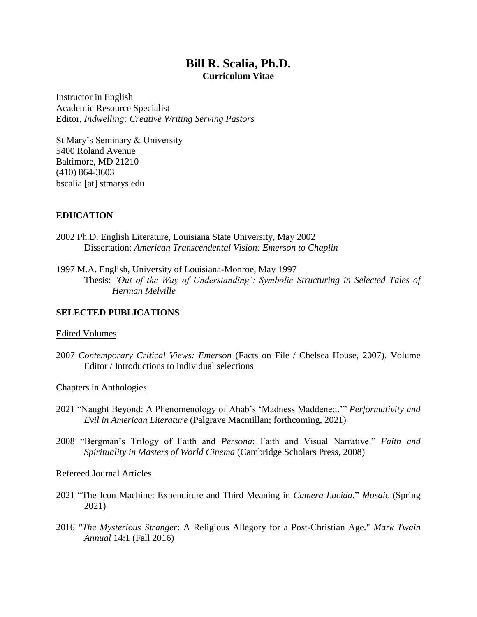# **Bill R. Scalia, Ph.D. Curriculum Vitae**

Instructor in English Academic Resource Specialist Editor, *Indwelling: Creative Writing Serving Pastors*

St Mary's Seminary & University 5400 Roland Avenue Baltimore, MD 21210 (410) 864-3603 bscalia [at] stmarys.edu

# **EDUCATION**

- 2002 Ph.D. English Literature, Louisiana State University, May 2002 Dissertation: *American Transcendental Vision: Emerson to Chaplin*
- 1997 M.A. English, University of Louisiana-Monroe, May 1997 Thesis: *'Out of the Way of Understanding': Symbolic Structuring in Selected Tales of Herman Melville*

# **SELECTED PUBLICATIONS**

#### Edited Volumes

- 2007 *Contemporary Critical Views: Emerson* (Facts on File / Chelsea House, 2007). Volume Editor / Introductions to individual selections
- Chapters in Anthologies
- 2021 "Naught Beyond: A Phenomenology of Ahab's 'Madness Maddened.'" *Performativity and Evil in American Literature* (Palgrave Macmillan; forthcoming, 2021)
- 2008 "Bergman's Trilogy of Faith and *Persona*: Faith and Visual Narrative." *Faith and Spirituality in Masters of World Cinema* (Cambridge Scholars Press, 2008)

#### Refereed Journal Articles

- 2021 "The Icon Machine: Expenditure and Third Meaning in *Camera Lucida*." *Mosaic* (Spring 2021)
- 2016 *"The Mysterious Stranger*: A Religious Allegory for a Post-Christian Age." *Mark Twain Annual* 14:1 (Fall 2016)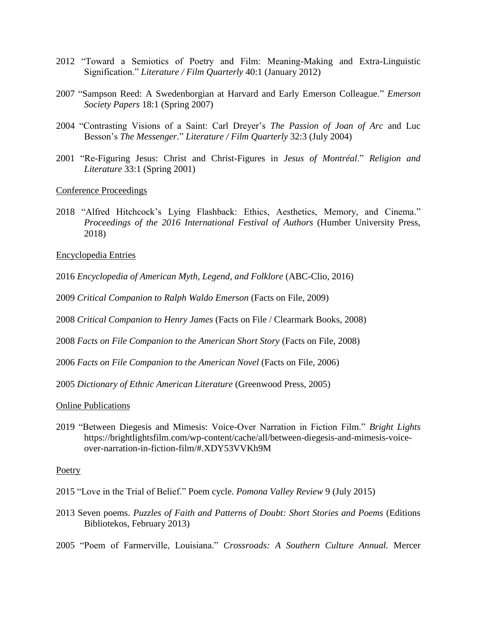- 2012 "Toward a Semiotics of Poetry and Film: Meaning-Making and Extra-Linguistic Signification." *Literature / Film Quarterly* 40:1 (January 2012)
- 2007 "Sampson Reed: A Swedenborgian at Harvard and Early Emerson Colleague." *Emerson Society Papers* 18:1 (Spring 2007)
- 2004 "Contrasting Visions of a Saint: Carl Dreyer's *The Passion of Joan of Arc* and Luc Besson's *The Messenger.*" *Literature / Film Quarterly* 32:3 (July 2004)
- 2001 "Re-Figuring Jesus: Christ and Christ-Figures in *Jesus of Montréal*." *Religion and Literature* 33:1 (Spring 2001)

Conference Proceedings

2018 "Alfred Hitchcock's Lying Flashback: Ethics, Aesthetics, Memory, and Cinema." *Proceedings of the 2016 International Festival of Authors* (Humber University Press, 2018)

Encyclopedia Entries

- 2016 *Encyclopedia of American Myth, Legend, and Folklore* (ABC-Clio, 2016)
- 2009 *Critical Companion to Ralph Waldo Emerson* (Facts on File, 2009)
- 2008 *Critical Companion to Henry James* (Facts on File / Clearmark Books, 2008)
- 2008 *Facts on File Companion to the American Short Story* (Facts on File, 2008)
- 2006 *Facts on File Companion to the American Novel* (Facts on File, 2006)

2005 *Dictionary of Ethnic American Literature* (Greenwood Press, 2005)

Online Publications

2019 "Between Diegesis and Mimesis: Voice-Over Narration in Fiction Film." *Bright Lights* [https://brightlightsfilm.com/wp-content/cache/all/between-diegesis-and-mimesis-voice](https://brightlightsfilm.com/wp-content/cache/all/between-diegesis-and-mimesis-voice-)over-narration-in-fiction-film/#.XDY53VVKh9M

#### Poetry

- 2015 "Love in the Trial of Belief." Poem cycle. *Pomona Valley Review* 9 (July 2015)
- 2013 Seven poems. *Puzzles of Faith and Patterns of Doubt: Short Stories and Poems* (Editions Bibliotekos, February 2013)
- 2005 "Poem of Farmerville, Louisiana." *Crossroads: A Southern Culture Annual.* Mercer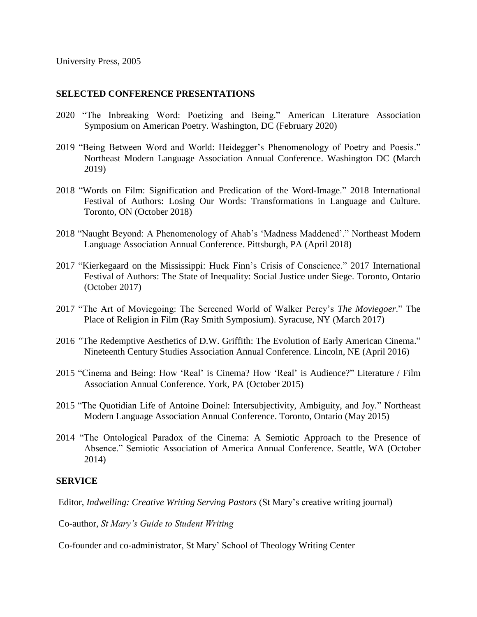## **SELECTED CONFERENCE PRESENTATIONS**

- 2020 "The Inbreaking Word: Poetizing and Being." American Literature Association Symposium on American Poetry. Washington, DC (February 2020)
- 2019 "Being Between Word and World: Heidegger's Phenomenology of Poetry and Poesis." Northeast Modern Language Association Annual Conference. Washington DC (March 2019)
- 2018 "Words on Film: Signification and Predication of the Word-Image." 2018 International Festival of Authors: Losing Our Words: Transformations in Language and Culture. Toronto, ON (October 2018)
- 2018 "Naught Beyond: A Phenomenology of Ahab's 'Madness Maddened'." Northeast Modern Language Association Annual Conference. Pittsburgh, PA (April 2018)
- 2017 "Kierkegaard on the Mississippi: Huck Finn's Crisis of Conscience." 2017 International Festival of Authors: The State of Inequality: Social Justice under Siege. Toronto, Ontario (October 2017)
- 2017 "The Art of Moviegoing: The Screened World of Walker Percy's *The Moviegoer*." The Place of Religion in Film (Ray Smith Symposium). Syracuse, NY (March 2017)
- 2016 *"*The Redemptive Aesthetics of D.W. Griffith: The Evolution of Early American Cinema." Nineteenth Century Studies Association Annual Conference. Lincoln, NE (April 2016)
- 2015 "Cinema and Being: How 'Real' is Cinema? How 'Real' is Audience?" Literature / Film Association Annual Conference. York, PA (October 2015)
- 2015 "The Quotidian Life of Antoine Doinel: Intersubjectivity, Ambiguity, and Joy." Northeast Modern Language Association Annual Conference. Toronto, Ontario (May 2015)
- 2014 "The Ontological Paradox of the Cinema: A Semiotic Approach to the Presence of Absence." Semiotic Association of America Annual Conference. Seattle, WA (October 2014)

## **SERVICE**

Editor, *Indwelling: Creative Writing Serving Pastors* (St Mary's creative writing journal)

Co-author, *St Mary's Guide to Student Writing*

Co-founder and co-administrator, St Mary' School of Theology Writing Center